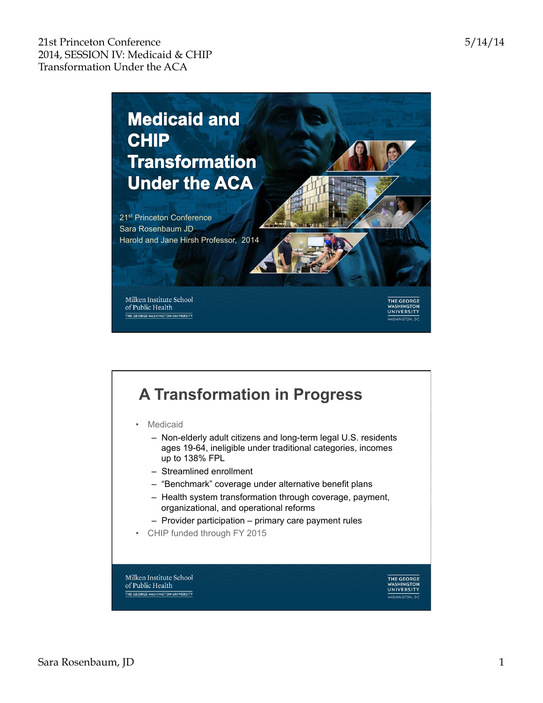